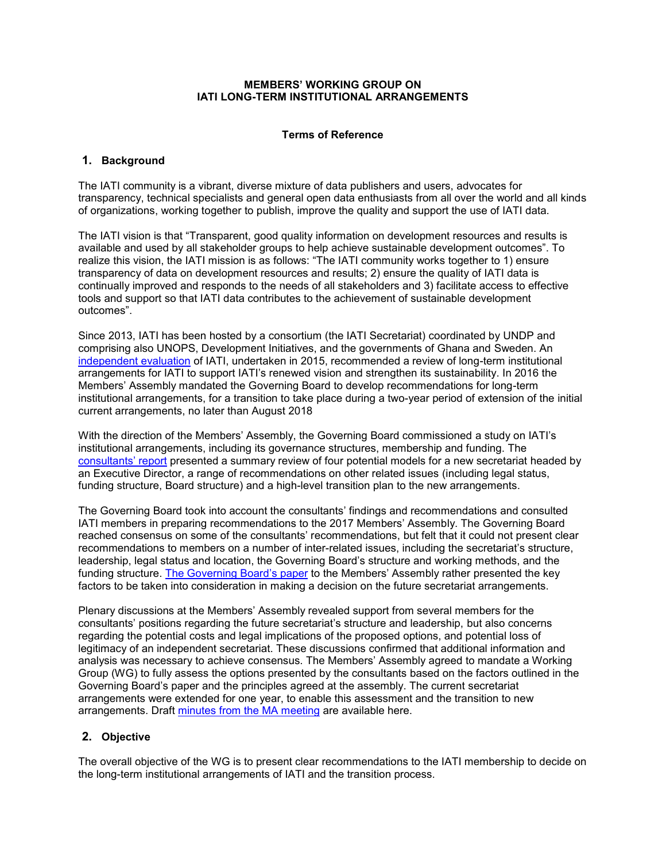#### **MEMBERS' WORKING GROUP ON IATI LONG-TERM INSTITUTIONAL ARRANGEMENTS**

## **Terms of Reference**

### **1. Background**

The IATI community is a vibrant, diverse mixture of data publishers and users, advocates for transparency, technical specialists and general open data enthusiasts from all over the world and all kinds of organizations, working together to publish, improve the quality and support the use of IATI data.

The IATI vision is that "Transparent, good quality information on development resources and results is available and used by all stakeholder groups to help achieve sustainable development outcomes". To realize this vision, the IATI mission is as follows: "The IATI community works together to 1) ensure transparency of data on development resources and results; 2) ensure the quality of IATI data is continually improved and responds to the needs of all stakeholders and 3) facilitate access to effective tools and support so that IATI data contributes to the achievement of sustainable development outcomes".

Since 2013, IATI has been hosted by a consortium (the IATI Secretariat) coordinated by UNDP and comprising also UNOPS, Development Initiatives, and the governments of Ghana and Sweden. An [independent evaluation](http://www.aidtransparency.net/governance/evaluation) of IATI, undertaken in 2015, recommended a review of long-term institutional arrangements for IATI to support IATI's renewed vision and strengthen its sustainability. In 2016 the Members' Assembly mandated the Governing Board to develop recommendations for long-term institutional arrangements, for a transition to take place during a two-year period of extension of the initial current arrangements, no later than August 2018

With the direction of the Members' Assembly, the Governing Board commissioned a study on IATI's institutional arrangements, including its governance structures, membership and funding. The [consultants](https://www.aidtransparency.net/wp-content/uploads/2017/09/Recommendations-for-the-long-term-institutional-arrangements-for-the-International-Aid-Transparency-Initiative-August-2017.pdf)' report presented a summary review of four potential models for a new secretariat headed by an Executive Director, a range of recommendations on other related issues (including legal status, funding structure, Board structure) and a high-level transition plan to the new arrangements.

The Governing Board took into account the consultants' findings and recommendations and consulted IATI members in preparing recommendations to the 2017 Members' Assembly. The Governing Board reached consensus on some of the consultants' recommendations, but felt that it could not present clear recommendations to members on a number of inter-related issues, including the secretariat's structure, leadership, legal status and location, the Governing Board's structure and working methods, and the funding structure. [The Governing Board](https://www.aidtransparency.net/wp-content/uploads/2017/09/Paper-8-IATI-Governing-Board-Paper-on-Long-term-Institutional-Arrangements-1.pdf)'s paper to the Members' Assembly rather presented the key factors to be taken into consideration in making a decision on the future secretariat arrangements.

Plenary discussions at the Members' Assembly revealed support from several members for the consultants' positions regarding the future secretariat's structure and leadership, but also concerns regarding the potential costs and legal implications of the proposed options, and potential loss of legitimacy of an independent secretariat. These discussions confirmed that additional information and analysis was necessary to achieve consensus. The Members' Assembly agreed to mandate a Working Group (WG) to fully assess the options presented by the consultants based on the factors outlined in the Governing Board's paper and the principles agreed at the assembly. The current secretariat arrangements were extended for one year, to enable this assessment and the transition to new arrangements. Draft [minutes from the MA meeting](https://docs.google.com/document/d/1NRisM6igyS0xXGwz8WRZMabikjvSW3MjrdbvWBbsIGU/edit?usp=sharing) are available here.

# **2. Objective**

The overall objective of the WG is to present clear recommendations to the IATI membership to decide on the long-term institutional arrangements of IATI and the transition process.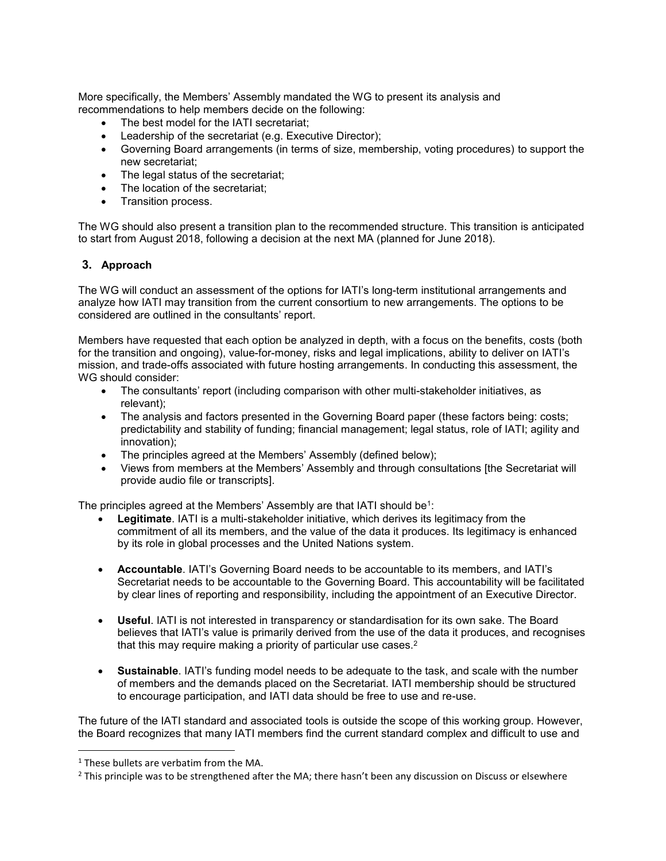More specifically, the Members' Assembly mandated the WG to present its analysis and recommendations to help members decide on the following:

- The best model for the IATI secretariat:
- Leadership of the secretariat (e.g. Executive Director);
- Governing Board arrangements (in terms of size, membership, voting procedures) to support the new secretariat;
- The legal status of the secretariat;
- The location of the secretariat;
- Transition process.

The WG should also present a transition plan to the recommended structure. This transition is anticipated to start from August 2018, following a decision at the next MA (planned for June 2018).

# **3. Approach**

The WG will conduct an assessment of the options for IATI's long-term institutional arrangements and analyze how IATI may transition from the current consortium to new arrangements. The options to be considered are outlined in the consultants' report.

Members have requested that each option be analyzed in depth, with a focus on the benefits, costs (both for the transition and ongoing), value-for-money, risks and legal implications, ability to deliver on IATI's mission, and trade-offs associated with future hosting arrangements. In conducting this assessment, the WG should consider:

- The consultants' report (including comparison with other multi-stakeholder initiatives, as relevant);
- The analysis and factors presented in the Governing Board paper (these factors being: costs; predictability and stability of funding; financial management; legal status, role of IATI; agility and innovation);
- The principles agreed at the Members' Assembly (defined below);
- Views from members at the Members' Assembly and through consultations [the Secretariat will provide audio file or transcripts].

The principles agreed at the Members' Assembly are that IATI should be<sup>1</sup>:

- **Legitimate**. IATI is a multi-stakeholder initiative, which derives its legitimacy from the commitment of all its members, and the value of the data it produces. Its legitimacy is enhanced by its role in global processes and the United Nations system.
- **Accountable**. IATI's Governing Board needs to be accountable to its members, and IATI's Secretariat needs to be accountable to the Governing Board. This accountability will be facilitated by clear lines of reporting and responsibility, including the appointment of an Executive Director.
- **Useful**. IATI is not interested in transparency or standardisation for its own sake. The Board believes that IATI's value is primarily derived from the use of the data it produces, and recognises that this may require making a priority of particular use cases.<sup>2</sup>
- **Sustainable**. IATI's funding model needs to be adequate to the task, and scale with the number of members and the demands placed on the Secretariat. IATI membership should be structured to encourage participation, and IATI data should be free to use and re-use.

The future of the IATI standard and associated tools is outside the scope of this working group. However, the Board recognizes that many IATI members find the current standard complex and difficult to use and

 $\overline{\phantom{a}}$ 

 $1$  These bullets are verbatim from the MA.

<sup>&</sup>lt;sup>2</sup> This principle was to be strengthened after the MA; there hasn't been any discussion on Discuss or elsewhere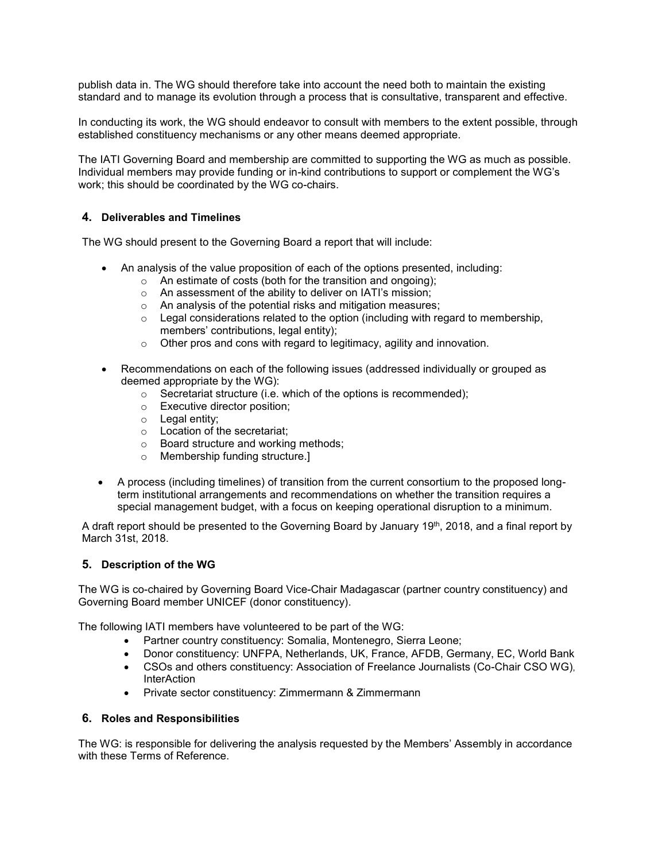publish data in. The WG should therefore take into account the need both to maintain the existing standard and to manage its evolution through a process that is consultative, transparent and effective.

In conducting its work, the WG should endeavor to consult with members to the extent possible, through established constituency mechanisms or any other means deemed appropriate.

The IATI Governing Board and membership are committed to supporting the WG as much as possible. Individual members may provide funding or in-kind contributions to support or complement the WG's work; this should be coordinated by the WG co-chairs.

## **4. Deliverables and Timelines**

The WG should present to the Governing Board a report that will include:

- An analysis of the value proposition of each of the options presented, including:
	- o An estimate of costs (both for the transition and ongoing);
	- o An assessment of the ability to deliver on IATI's mission;
	- o An analysis of the potential risks and mitigation measures;
	- $\circ$  Legal considerations related to the option (including with regard to membership, members' contributions, legal entity);
	- o Other pros and cons with regard to legitimacy, agility and innovation.
- Recommendations on each of the following issues (addressed individually or grouped as deemed appropriate by the WG):
	- o Secretariat structure (i.e. which of the options is recommended);
	- o Executive director position;
	- o Legal entity;
	- o Location of the secretariat;
	- o Board structure and working methods;
	- o Membership funding structure.]
- A process (including timelines) of transition from the current consortium to the proposed longterm institutional arrangements and recommendations on whether the transition requires a special management budget, with a focus on keeping operational disruption to a minimum.

A draft report should be presented to the Governing Board by January 19<sup>th</sup>, 2018, and a final report by March 31st, 2018.

# **5. Description of the WG**

The WG is co-chaired by Governing Board Vice-Chair Madagascar (partner country constituency) and Governing Board member UNICEF (donor constituency).

The following IATI members have volunteered to be part of the WG:

- Partner country constituency: Somalia, Montenegro, Sierra Leone;
- Donor constituency: UNFPA, Netherlands, UK, France, AFDB, Germany, EC, World Bank
- CSOs and others constituency: Association of Freelance Journalists (Co-Chair CSO WG), **InterAction**
- Private sector constituency: Zimmermann & Zimmermann

#### **6. Roles and Responsibilities**

The WG: is responsible for delivering the analysis requested by the Members' Assembly in accordance with these Terms of Reference.